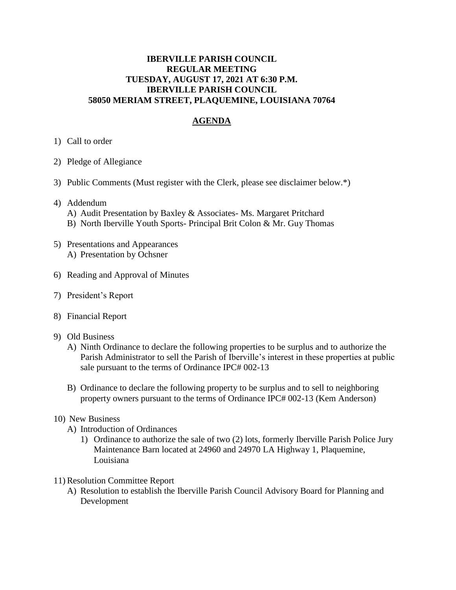## **IBERVILLE PARISH COUNCIL REGULAR MEETING TUESDAY, AUGUST 17, 2021 AT 6:30 P.M. IBERVILLE PARISH COUNCIL 58050 MERIAM STREET, PLAQUEMINE, LOUISIANA 70764**

## **AGENDA**

- 1) Call to order
- 2) Pledge of Allegiance
- 3) Public Comments (Must register with the Clerk, please see disclaimer below.\*)
- 4) Addendum
	- A) Audit Presentation by Baxley & Associates- Ms. Margaret Pritchard
	- B) North Iberville Youth Sports- Principal Brit Colon & Mr. Guy Thomas
- 5) Presentations and Appearances A) Presentation by Ochsner
- 6) Reading and Approval of Minutes
- 7) President's Report
- 8) Financial Report
- 9) Old Business
	- A) Ninth Ordinance to declare the following properties to be surplus and to authorize the Parish Administrator to sell the Parish of Iberville's interest in these properties at public sale pursuant to the terms of Ordinance IPC# 002-13
	- B) Ordinance to declare the following property to be surplus and to sell to neighboring property owners pursuant to the terms of Ordinance IPC# 002-13 (Kem Anderson)
- 10) New Business
	- A) Introduction of Ordinances
		- 1) Ordinance to authorize the sale of two (2) lots, formerly Iberville Parish Police Jury Maintenance Barn located at 24960 and 24970 LA Highway 1, Plaquemine, Louisiana
- 11) Resolution Committee Report
	- A) Resolution to establish the Iberville Parish Council Advisory Board for Planning and Development